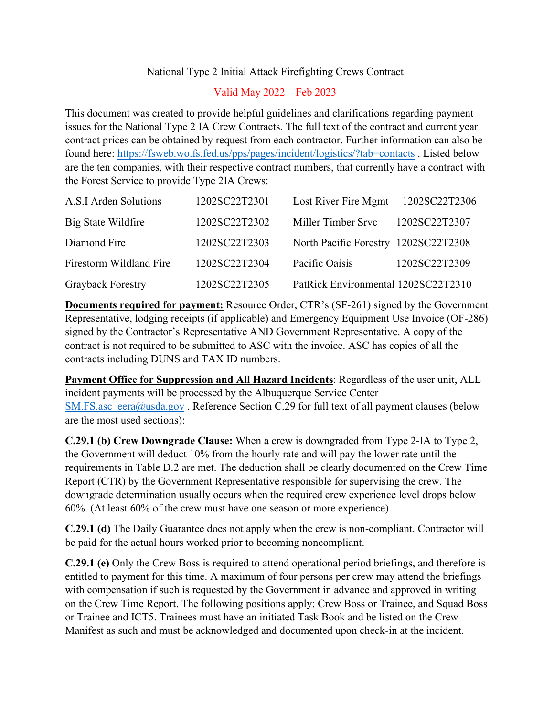## National Type 2 Initial Attack Firefighting Crews Contract

## Valid May 2022 – Feb 2023

This document was created to provide helpful guidelines and clarifications regarding payment issues for the National Type 2 IA Crew Contracts. The full text of the contract and current year contract prices can be obtained by request from each contractor. Further information can also be found here: <https://fsweb.wo.fs.fed.us/pps/pages/incident/logistics/?tab=contacts> . Listed below are the ten companies, with their respective contract numbers, that currently have a contract with the Forest Service to provide Type 2IA Crews:

| A.S.I Arden Solutions   | 1202SC22T2301 | Lost River Fire Mgmt                 | 1202SC22T2306 |
|-------------------------|---------------|--------------------------------------|---------------|
| Big State Wildfire      | 1202SC22T2302 | Miller Timber Srvc                   | 1202SC22T2307 |
| Diamond Fire            | 1202SC22T2303 | North Pacific Forestry 1202SC22T2308 |               |
| Firestorm Wildland Fire | 1202SC22T2304 | Pacific Oaisis                       | 1202SC22T2309 |
| Grayback Forestry       | 1202SC22T2305 | PatRick Environmental 1202SC22T2310  |               |

**Documents required for payment:** Resource Order, CTR's (SF-261) signed by the Government Representative, lodging receipts (if applicable) and Emergency Equipment Use Invoice (OF-286) signed by the Contractor's Representative AND Government Representative. A copy of the contract is not required to be submitted to ASC with the invoice. ASC has copies of all the contracts including DUNS and TAX ID numbers.

**Payment Office for Suppression and All Hazard Incidents**: Regardless of the user unit, ALL incident payments will be processed by the Albuquerque Service Center  $SM.FS.$ asc\_eera@usda.gov . Reference Section C.29 for full text of all payment clauses (below are the most used sections):

**C.29.1 (b) Crew Downgrade Clause:** When a crew is downgraded from Type 2-IA to Type 2, the Government will deduct 10% from the hourly rate and will pay the lower rate until the requirements in Table D.2 are met. The deduction shall be clearly documented on the Crew Time Report (CTR) by the Government Representative responsible for supervising the crew. The downgrade determination usually occurs when the required crew experience level drops below 60%. (At least 60% of the crew must have one season or more experience).

**C.29.1 (d)** The Daily Guarantee does not apply when the crew is non-compliant. Contractor will be paid for the actual hours worked prior to becoming noncompliant.

**C.29.1 (e)** Only the Crew Boss is required to attend operational period briefings, and therefore is entitled to payment for this time. A maximum of four persons per crew may attend the briefings with compensation if such is requested by the Government in advance and approved in writing on the Crew Time Report. The following positions apply: Crew Boss or Trainee, and Squad Boss or Trainee and ICT5. Trainees must have an initiated Task Book and be listed on the Crew Manifest as such and must be acknowledged and documented upon check-in at the incident.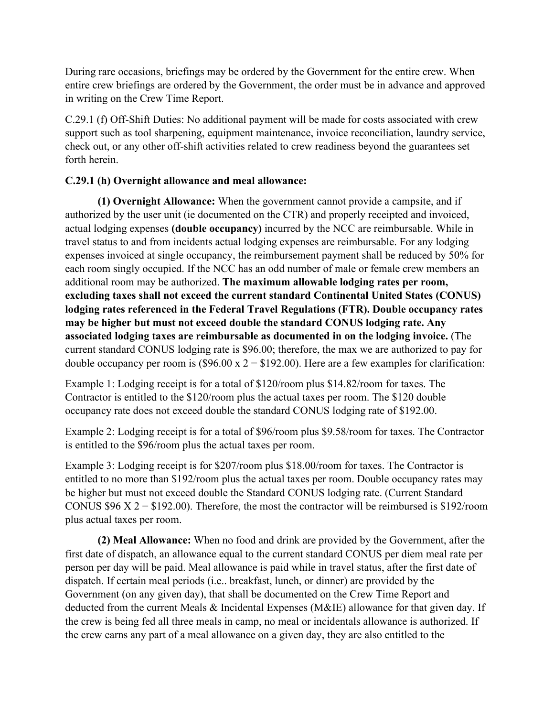During rare occasions, briefings may be ordered by the Government for the entire crew. When entire crew briefings are ordered by the Government, the order must be in advance and approved in writing on the Crew Time Report.

C.29.1 (f) Off-Shift Duties: No additional payment will be made for costs associated with crew support such as tool sharpening, equipment maintenance, invoice reconciliation, laundry service, check out, or any other off-shift activities related to crew readiness beyond the guarantees set forth herein.

## **C.29.1 (h) Overnight allowance and meal allowance:**

**(1) Overnight Allowance:** When the government cannot provide a campsite, and if authorized by the user unit (ie documented on the CTR) and properly receipted and invoiced, actual lodging expenses **(double occupancy)** incurred by the NCC are reimbursable. While in travel status to and from incidents actual lodging expenses are reimbursable. For any lodging expenses invoiced at single occupancy, the reimbursement payment shall be reduced by 50% for each room singly occupied. If the NCC has an odd number of male or female crew members an additional room may be authorized. **The maximum allowable lodging rates per room, excluding taxes shall not exceed the current standard Continental United States (CONUS) lodging rates referenced in the Federal Travel Regulations (FTR). Double occupancy rates may be higher but must not exceed double the standard CONUS lodging rate. Any associated lodging taxes are reimbursable as documented in on the lodging invoice.** (The current standard CONUS lodging rate is \$96.00; therefore, the max we are authorized to pay for double occupancy per room is  $(\$96.00 \times 2 = \$192.00)$ . Here are a few examples for clarification:

Example 1: Lodging receipt is for a total of \$120/room plus \$14.82/room for taxes. The Contractor is entitled to the \$120/room plus the actual taxes per room. The \$120 double occupancy rate does not exceed double the standard CONUS lodging rate of \$192.00.

Example 2: Lodging receipt is for a total of \$96/room plus \$9.58/room for taxes. The Contractor is entitled to the \$96/room plus the actual taxes per room.

Example 3: Lodging receipt is for \$207/room plus \$18.00/room for taxes. The Contractor is entitled to no more than \$192/room plus the actual taxes per room. Double occupancy rates may be higher but must not exceed double the Standard CONUS lodging rate. (Current Standard CONUS \$96 X  $2 = $192.00$ . Therefore, the most the contractor will be reimbursed is \$192/room plus actual taxes per room.

**(2) Meal Allowance:** When no food and drink are provided by the Government, after the first date of dispatch, an allowance equal to the current standard CONUS per diem meal rate per person per day will be paid. Meal allowance is paid while in travel status, after the first date of dispatch. If certain meal periods (i.e.. breakfast, lunch, or dinner) are provided by the Government (on any given day), that shall be documented on the Crew Time Report and deducted from the current Meals & Incidental Expenses (M&IE) allowance for that given day. If the crew is being fed all three meals in camp, no meal or incidentals allowance is authorized. If the crew earns any part of a meal allowance on a given day, they are also entitled to the